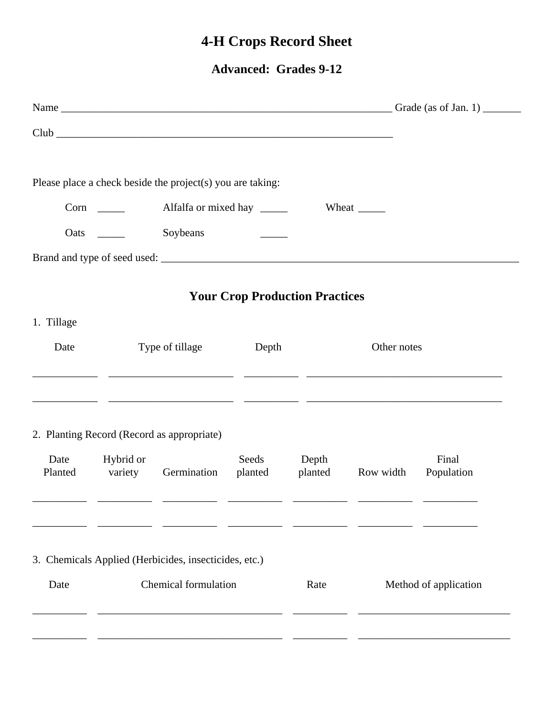## **4-H Crops Record Sheet**

**Advanced: Grades 9-12** 

|                 |                             |                                                            |         |                                       |                       | Name $\frac{1}{\sqrt{1-\frac{1}{2}}\sqrt{1-\frac{1}{2}}\sqrt{1-\frac{1}{2}}\sqrt{1-\frac{1}{2}}\sqrt{1-\frac{1}{2}}\sqrt{1-\frac{1}{2}}\sqrt{1-\frac{1}{2}}\sqrt{1-\frac{1}{2}}\sqrt{1-\frac{1}{2}}\sqrt{1-\frac{1}{2}}\sqrt{1-\frac{1}{2}}\sqrt{1-\frac{1}{2}}\sqrt{1-\frac{1}{2}}\sqrt{1-\frac{1}{2}}\sqrt{1-\frac{1}{2}}\sqrt{1-\frac{1}{2}}\sqrt{1-\frac{1}{2}}\sqrt{1-\frac{1}{2}}\sqrt{1-\frac{1}{2}}\$ |  |  |
|-----------------|-----------------------------|------------------------------------------------------------|---------|---------------------------------------|-----------------------|---------------------------------------------------------------------------------------------------------------------------------------------------------------------------------------------------------------------------------------------------------------------------------------------------------------------------------------------------------------------------------------------------------------|--|--|
|                 |                             |                                                            |         |                                       |                       |                                                                                                                                                                                                                                                                                                                                                                                                               |  |  |
|                 |                             | Please place a check beside the project(s) you are taking: |         |                                       |                       |                                                                                                                                                                                                                                                                                                                                                                                                               |  |  |
|                 |                             |                                                            |         |                                       |                       |                                                                                                                                                                                                                                                                                                                                                                                                               |  |  |
|                 | <b>Oats</b>                 | Soybeans                                                   |         |                                       |                       |                                                                                                                                                                                                                                                                                                                                                                                                               |  |  |
|                 |                             |                                                            |         |                                       |                       |                                                                                                                                                                                                                                                                                                                                                                                                               |  |  |
|                 |                             |                                                            |         | <b>Your Crop Production Practices</b> |                       |                                                                                                                                                                                                                                                                                                                                                                                                               |  |  |
| 1. Tillage      |                             |                                                            |         |                                       |                       |                                                                                                                                                                                                                                                                                                                                                                                                               |  |  |
| Date            |                             | Type of tillage                                            | Depth   |                                       |                       | Other notes                                                                                                                                                                                                                                                                                                                                                                                                   |  |  |
|                 |                             | <u> 1980 - Jan Samuel Salam (b. 1980)</u>                  |         |                                       |                       |                                                                                                                                                                                                                                                                                                                                                                                                               |  |  |
|                 |                             | 2. Planting Record (Record as appropriate)                 |         |                                       |                       |                                                                                                                                                                                                                                                                                                                                                                                                               |  |  |
| Date<br>Planted | Hybrid or<br>variety        | Germination                                                | planted | Seeds Depth<br>planted                | Row width             | Final<br>Population                                                                                                                                                                                                                                                                                                                                                                                           |  |  |
|                 |                             |                                                            |         |                                       |                       |                                                                                                                                                                                                                                                                                                                                                                                                               |  |  |
|                 |                             | 3. Chemicals Applied (Herbicides, insecticides, etc.)      |         |                                       |                       |                                                                                                                                                                                                                                                                                                                                                                                                               |  |  |
| Date            | <b>Chemical formulation</b> |                                                            |         | Rate                                  | Method of application |                                                                                                                                                                                                                                                                                                                                                                                                               |  |  |
|                 |                             |                                                            |         |                                       |                       |                                                                                                                                                                                                                                                                                                                                                                                                               |  |  |
|                 |                             |                                                            |         |                                       |                       |                                                                                                                                                                                                                                                                                                                                                                                                               |  |  |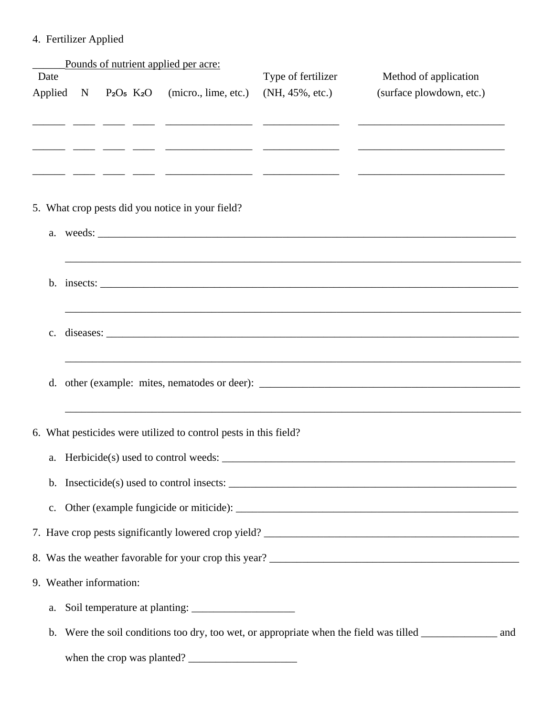## 4. Fertilizer Applied

|                |                         | Pounds of nutrient applied per acre:                                                                                   |                                                                                                                      |                                                                                                            |  |
|----------------|-------------------------|------------------------------------------------------------------------------------------------------------------------|----------------------------------------------------------------------------------------------------------------------|------------------------------------------------------------------------------------------------------------|--|
| Date           |                         |                                                                                                                        | Type of fertilizer                                                                                                   | Method of application                                                                                      |  |
| Applied        |                         | $N$ P <sub>2</sub> O <sub>5</sub> K <sub>2</sub> O (micro., lime, etc.)                                                | $(NH, 45\%, etc.)$                                                                                                   | (surface plowdown, etc.)                                                                                   |  |
|                |                         | <u> 1999 - Andre Sammen, Amerikaansk kommunist (het school van de school van de school van de school van de school</u> |                                                                                                                      |                                                                                                            |  |
|                |                         |                                                                                                                        | <u> 1988 - 1988 - 1988 - 1988 - 1988 - 1988 - 1988 - 1988 - 1988 - 1988 - 1988 - 1988 - 1988 - 1988 - 1988 - 198</u> |                                                                                                            |  |
|                |                         |                                                                                                                        |                                                                                                                      |                                                                                                            |  |
|                |                         |                                                                                                                        |                                                                                                                      | <u> 222 - 222 - 222 - 222 - 222 - 222 - 222 - 222 - 222 - 222 - 222 - 222 - 222 - 222 - 222 - 222 - 22</u> |  |
|                |                         | 5. What crop pests did you notice in your field?                                                                       |                                                                                                                      |                                                                                                            |  |
|                |                         |                                                                                                                        |                                                                                                                      |                                                                                                            |  |
|                |                         |                                                                                                                        |                                                                                                                      |                                                                                                            |  |
|                |                         |                                                                                                                        |                                                                                                                      | ,我们也不会有什么。""我们的人,我们也不会有什么?""我们的人,我们也不会有什么?""我们的人,我们也不会有什么?""我们的人,我们也不会有什么?""我们的人                           |  |
|                |                         |                                                                                                                        |                                                                                                                      |                                                                                                            |  |
|                |                         |                                                                                                                        |                                                                                                                      |                                                                                                            |  |
| $\mathbf{c}$ . |                         |                                                                                                                        |                                                                                                                      |                                                                                                            |  |
|                |                         |                                                                                                                        |                                                                                                                      |                                                                                                            |  |
|                |                         |                                                                                                                        |                                                                                                                      |                                                                                                            |  |
|                |                         |                                                                                                                        |                                                                                                                      |                                                                                                            |  |
|                |                         |                                                                                                                        |                                                                                                                      |                                                                                                            |  |
|                |                         | 6. What pesticides were utilized to control pests in this field?                                                       |                                                                                                                      |                                                                                                            |  |
|                |                         |                                                                                                                        |                                                                                                                      |                                                                                                            |  |
|                |                         |                                                                                                                        |                                                                                                                      | b. Insecticide(s) used to control insects: $\frac{1}{\sqrt{1-\frac{1}{n}}}\left\{ \frac{1}{n} \right\}$    |  |
|                |                         |                                                                                                                        |                                                                                                                      |                                                                                                            |  |
|                |                         |                                                                                                                        |                                                                                                                      |                                                                                                            |  |
|                |                         |                                                                                                                        |                                                                                                                      |                                                                                                            |  |
|                |                         |                                                                                                                        |                                                                                                                      |                                                                                                            |  |
|                | 9. Weather information: |                                                                                                                        |                                                                                                                      |                                                                                                            |  |
| a.             |                         |                                                                                                                        |                                                                                                                      |                                                                                                            |  |
| $\mathbf{b}$ . |                         |                                                                                                                        |                                                                                                                      | Were the soil conditions too dry, too wet, or appropriate when the field was tilled _______________ and    |  |
|                |                         |                                                                                                                        | when the crop was planted?                                                                                           |                                                                                                            |  |